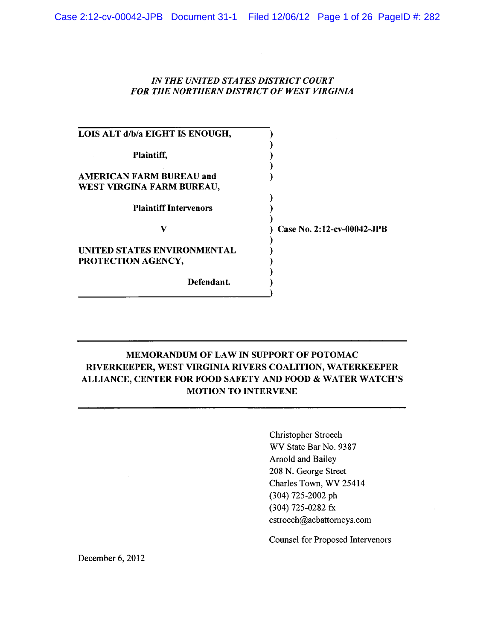## IN THE UNITED STATES DISTRICT COURT FOR THE NORTHERN DISTRICT OF WEST VIRGINIA

| LOIS ALT d/b/a EIGHT IS ENOUGH,                              |                            |
|--------------------------------------------------------------|----------------------------|
| Plaintiff,                                                   |                            |
| <b>AMERICAN FARM BUREAU and</b><br>WEST VIRGINA FARM BUREAU, |                            |
| <b>Plaintiff Intervenors</b>                                 |                            |
| v                                                            | Case No. 2:12-cv-00042-JPB |
| UNITED STATES ENVIRONMENTAL<br>PROTECTION AGENCY,            |                            |
| Defendant.                                                   |                            |

# MEMORANDUM OF LAW IN SUPPORT OF POTOMAC RIVERKEEPER, WEST VIRGINIA RIVERS COALITION, WATERKEEPER ALLIANCE, CENTER FOR FOOD SAFETY AND FOOD & WATER WATCH'S **MOTION TO INTERVENE**

Christopher Stroech WV State Bar No. 9387 Arnold and Bailey 208 N. George Street Charles Town, WV 25414 (304) 725-2002 ph (304) 725-0282 fx cstroech@acbattorneys.com

**Counsel for Proposed Intervenors** 

December 6, 2012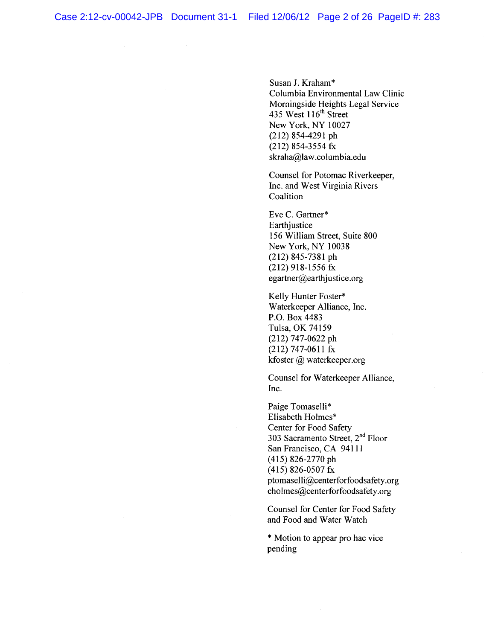Susan J. Kraham\* Columbia Environmental Law Clinic Morningside Heights Legal Service 435 West 116<sup>th</sup> Street New York, NY 10027  $(212)$  854-4291 ph  $(212)$  854-3554 fx skraha@law.columbia.edu

Counsel for Potomac Riverkeeper, Inc. and West Virginia Rivers Coalition

Eve C. Gartner\* Earthjustice 156 William Street, Suite 800 New York, NY 10038  $(212)$  845-7381 ph  $(212)$  918-1556 fx egartner@earthjustice.org

Kelly Hunter Foster\* Waterkeeper Alliance, Inc. P.O. Box 4483 Tulsa, OK 74159  $(212)$  747-0622 ph  $(212)$  747-0611 fx kfoster  $\omega$  waterkeeper.org

Counsel for Waterkeeper Alliance, Inc.

Paige Tomaselli\* Elisabeth Holmes\* Center for Food Safety 303 Sacramento Street, 2<sup>nd</sup> Floor San Francisco, CA 94111 (415) 826-2770 ph  $(415)$  826-0507 fx ptomaselli@centerforfoodsafety.org eholmes@centerforfoodsafety.org

Counsel for Center for Food Safety and Food and Water Watch

\* Motion to appear pro hac vice pending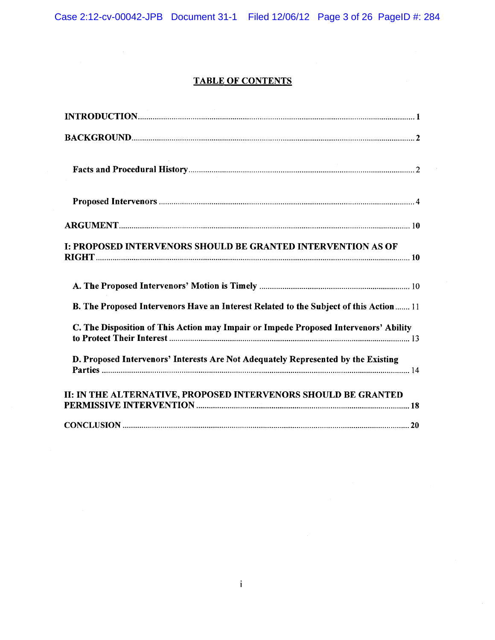# **TABLE OF CONTENTS**

| I: PROPOSED INTERVENORS SHOULD BE GRANTED INTERVENTION AS OF                           |
|----------------------------------------------------------------------------------------|
|                                                                                        |
| B. The Proposed Intervenors Have an Interest Related to the Subject of this Action  11 |
| C. The Disposition of This Action may Impair or Impede Proposed Intervenors' Ability   |
| D. Proposed Intervenors' Interests Are Not Adequately Represented by the Existing      |
| II: IN THE ALTERNATIVE, PROPOSED INTERVENORS SHOULD BE GRANTED                         |
|                                                                                        |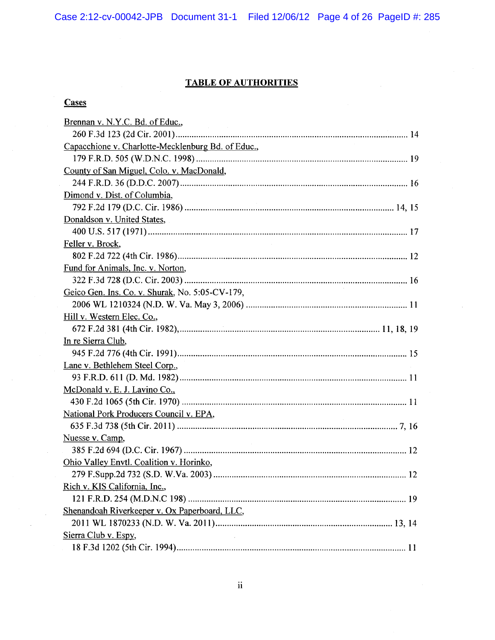Case 2:12-cv-00042-JPB Document 31-1 Filed 12/06/12 Page 4 of 26 PageID #: 285

# **TABLE OF AUTHORITIES**

# **Cases**

| Brennan v. N.Y.C. Bd. of Educ.,<br><b>Carl Community</b> |
|----------------------------------------------------------|
|                                                          |
| Capacchione v. Charlotte-Mecklenburg Bd. of Educ.,       |
|                                                          |
| County of San Miguel, Colo. v. MacDonald,                |
|                                                          |
| Dimond v. Dist. of Columbia,                             |
|                                                          |
| Donaldson v. United States,                              |
|                                                          |
| Feller v. Brock,                                         |
|                                                          |
| Fund for Animals, Inc. v. Norton,                        |
|                                                          |
| Geico Gen. Ins. Co. v. Shurak, No. 5:05-CV-179,          |
|                                                          |
| Hill v. Western Elec. Co.,                               |
|                                                          |
| In re Sierra Club,                                       |
|                                                          |
| Lane v. Bethlehem Steel Corp.,                           |
|                                                          |
| McDonald v. E. J. Lavino Co.,                            |
|                                                          |
| National Pork Producers Council v. EPA,                  |
|                                                          |
| Nuesse v. Camp,                                          |
|                                                          |
| Ohio Valley Envtl. Coalition v. Horinko,                 |
|                                                          |
| Rich v. KIS California, Inc.,                            |
|                                                          |
| Shenandoah Riverkeeper v. Ox Paperboard, LLC,            |
|                                                          |
| Sierra Club v. Espy,                                     |
| 11                                                       |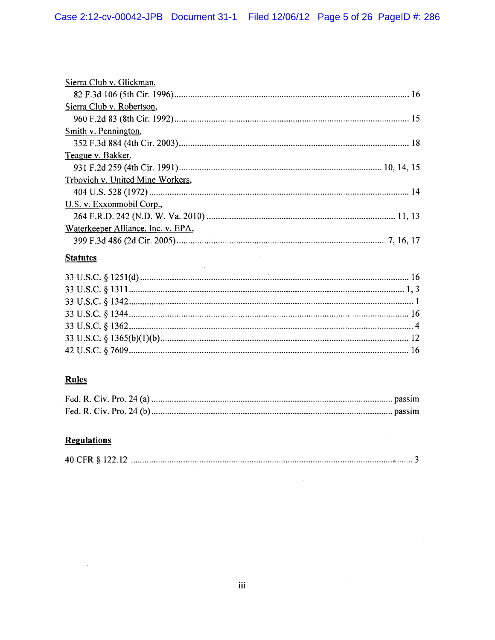| Sierra Club v. Glickman,           |
|------------------------------------|
|                                    |
| Sierra Club v. Robertson,          |
|                                    |
| Smith v. Pennington,               |
|                                    |
| Teague v. Bakker,                  |
|                                    |
| Trbovich v. United Mine Workers,   |
|                                    |
| U.S. v. Exxonmobil Corp.,          |
|                                    |
| Waterkeeper Alliance, Inc. v. EPA, |
|                                    |

# **Statutes**

 $\ddot{\phantom{1}}$ 

# **Rules**

# **Regulations**

 $\bar{\bar{z}}$ 

|--|--|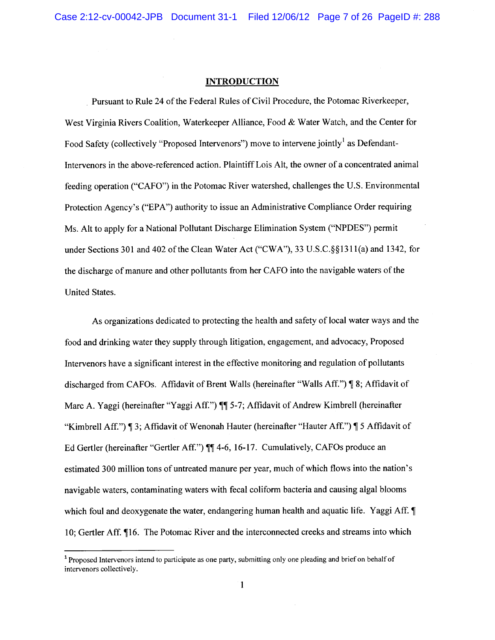#### **INTRODUCTION**

Pursuant to Rule 24 of the Federal Rules of Civil Procedure, the Potomac Riverkeeper, West Virginia Rivers Coalition, Waterkeeper Alliance, Food & Water Watch, and the Center for Food Safety (collectively "Proposed Intervenors") move to intervene jointly<sup>1</sup> as Defendant-Intervenors in the above-referenced action. Plaintiff Lois Alt, the owner of a concentrated animal feeding operation ("CAFO") in the Potomac River watershed, challenges the U.S. Environmental Protection Agency's ("EPA") authority to issue an Administrative Compliance Order requiring Ms. Alt to apply for a National Pollutant Discharge Elimination System ("NPDES") permit under Sections 301 and 402 of the Clean Water Act ("CWA"), 33 U.S.C. §§1311(a) and 1342, for the discharge of manure and other pollutants from her CAFO into the navigable waters of the United States.

As organizations dedicated to protecting the health and safety of local water ways and the food and drinking water they supply through litigation, engagement, and advocacy, Proposed Intervenors have a significant interest in the effective monitoring and regulation of pollutants discharged from CAFOs. Affidavit of Brent Walls (hereinafter "Walls Aff.") [8; Affidavit of Marc A. Yaggi (hereinafter "Yaggi Aff.") 11 5-7; Affidavit of Andrew Kimbrell (hereinafter "Kimbrell Aff.") [3; Affidavit of Wenonah Hauter (hereinafter "Hauter Aff.") [5 Affidavit of Ed Gertler (hereinafter "Gertler Aff.") ¶¶ 4-6, 16-17. Cumulatively, CAFOs produce an estimated 300 million tons of untreated manure per year, much of which flows into the nation's navigable waters, contaminating waters with fecal coliform bacteria and causing algal blooms which foul and deoxygenate the water, endangering human health and aquatic life. Yaggi Aff. 10; Gertler Aff. 116. The Potomac River and the interconnected creeks and streams into which

<sup>&</sup>lt;sup>1</sup> Proposed Intervenors intend to participate as one party, submitting only one pleading and brief on behalf of intervenors collectively.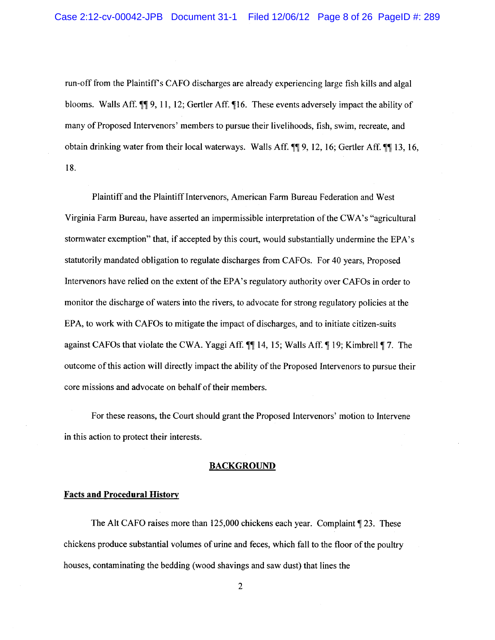run-off from the Plaintiff's CAFO discharges are already experiencing large fish kills and algal blooms. Walls Aff.  $\P$ , 11, 12; Gertler Aff.  $\P$ 16. These events adversely impact the ability of many of Proposed Intervenors' members to pursue their livelihoods, fish, swim, recreate, and obtain drinking water from their local waterways. Walls Aff.  $\P$ [9, 12, 16; Gertler Aff.  $\P$ [13, 16, 18.

Plaintiff and the Plaintiff Intervenors, American Farm Bureau Federation and West Virginia Farm Bureau, have asserted an impermissible interpretation of the CWA's "agricultural" stormwater exemption" that, if accepted by this court, would substantially undermine the EPA's statutorily mandated obligation to regulate discharges from CAFOs. For 40 years, Proposed Intervenors have relied on the extent of the EPA's regulatory authority over CAFOs in order to monitor the discharge of waters into the rivers, to advocate for strong regulatory policies at the EPA, to work with CAFOs to mitigate the impact of discharges, and to initiate citizen-suits against CAFOs that violate the CWA. Yaggi Aff.  $\P$  14, 15; Walls Aff.  $\P$  19; Kimbrell  $\P$  7. The outcome of this action will directly impact the ability of the Proposed Intervenors to pursue their core missions and advocate on behalf of their members.

For these reasons, the Court should grant the Proposed Intervenors' motion to Intervene in this action to protect their interests.

#### **BACKGROUND**

### **Facts and Procedural History**

The Alt CAFO raises more than  $125,000$  chickens each year. Complaint  $\S$  23. These chickens produce substantial volumes of urine and feces, which fall to the floor of the poultry houses, contaminating the bedding (wood shavings and saw dust) that lines the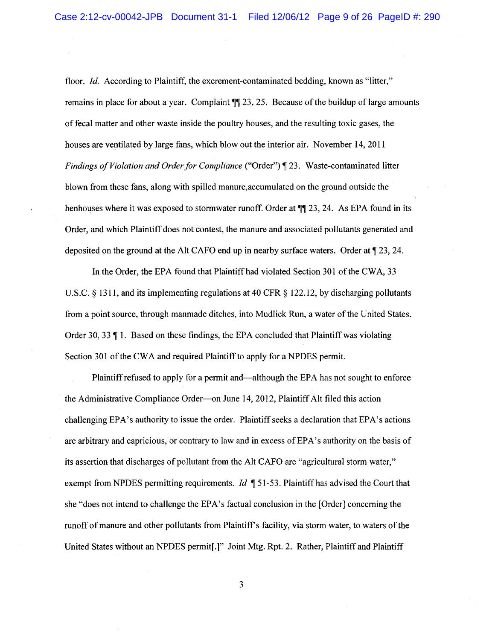floor. Id. According to Plaintiff, the excrement-contaminated bedding, known as "litter," remains in place for about a year. Complaint  $\P$  23, 25. Because of the buildup of large amounts of fecal matter and other waste inside the poultry houses, and the resulting toxic gases, the houses are ventilated by large fans, which blow out the interior air. November 14, 2011 Findings of Violation and Order for Compliance ("Order") [23. Waste-contaminated litter blown from these fans, along with spilled manure, accumulated on the ground outside the henhouses where it was exposed to stormwater runoff. Order at  $\P$ [23, 24. As EPA found in its Order, and which Plaintiff does not contest, the manure and associated pollutants generated and deposited on the ground at the Alt CAFO end up in nearby surface waters. Order at  $\sqrt{23}$ , 24.

In the Order, the EPA found that Plaintiff had violated Section 301 of the CWA, 33 U.S.C.  $\S$  1311, and its implementing regulations at 40 CFR  $\S$  122.12, by discharging pollutants from a point source, through manmade ditches, into Mudlick Run, a water of the United States. Order 30, 33  $\P$  1. Based on these findings, the EPA concluded that Plaintiff was violating Section 301 of the CWA and required Plaintiff to apply for a NPDES permit.

Plaintiff refused to apply for a permit and—although the EPA has not sought to enforce the Administrative Compliance Order—on June 14, 2012, Plaintiff Alt filed this action challenging EPA's authority to issue the order. Plaintiff seeks a declaration that EPA's actions are arbitrary and capricious, or contrary to law and in excess of EPA's authority on the basis of its assertion that discharges of pollutant from the Alt CAFO are "agricultural storm water," exempt from NPDES permitting requirements. *Id*  $\P$  51-53. Plaintiff has advised the Court that she "does not intend to challenge the EPA's factual conclusion in the [Order] concerning the runoff of manure and other pollutants from Plaintiff's facility, via storm water, to waters of the United States without an NPDES permit[.]" Joint Mtg. Rpt. 2. Rather, Plaintiff and Plaintiff

3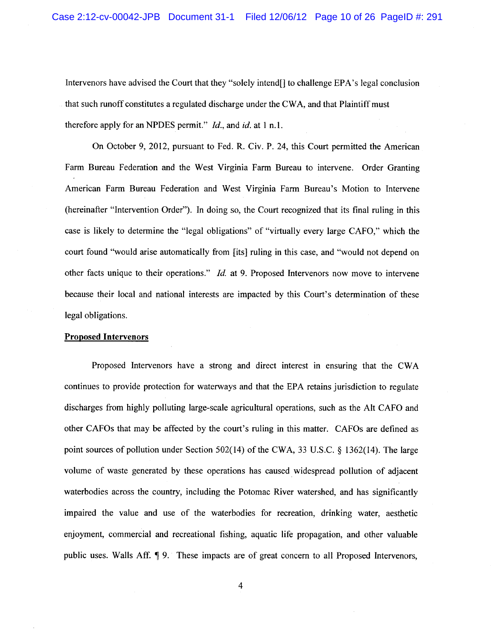Intervenors have advised the Court that they "solely intend[] to challenge EPA's legal conclusion that such runoff constitutes a regulated discharge under the CWA, and that Plaintiff must therefore apply for an NPDES permit."  $Id$ , and  $id$  at 1 n.1.

On October 9, 2012, pursuant to Fed. R. Civ. P. 24, this Court permitted the American Farm Bureau Federation and the West Virginia Farm Bureau to intervene. Order Granting American Farm Bureau Federation and West Virginia Farm Bureau's Motion to Intervene (hereinafter "Intervention Order"). In doing so, the Court recognized that its final ruling in this case is likely to determine the "legal obligations" of "virtually every large CAFO," which the court found "would arise automatically from [its] ruling in this case, and "would not depend on other facts unique to their operations." *Id.* at 9. Proposed Intervenors now move to intervene because their local and national interests are impacted by this Court's determination of these legal obligations.

#### **Proposed Intervenors**

Proposed Intervenors have a strong and direct interest in ensuring that the CWA continues to provide protection for waterways and that the EPA retains jurisdiction to regulate discharges from highly polluting large-scale agricultural operations, such as the Alt CAFO and other CAFOs that may be affected by the court's ruling in this matter. CAFOs are defined as point sources of pollution under Section 502(14) of the CWA, 33 U.S.C. § 1362(14). The large volume of waste generated by these operations has caused widespread pollution of adjacent waterbodies across the country, including the Potomac River watershed, and has significantly impaired the value and use of the waterbodies for recreation, drinking water, aesthetic enjoyment, commercial and recreational fishing, aquatic life propagation, and other valuable public uses. Walls Aff. ¶ 9. These impacts are of great concern to all Proposed Intervenors,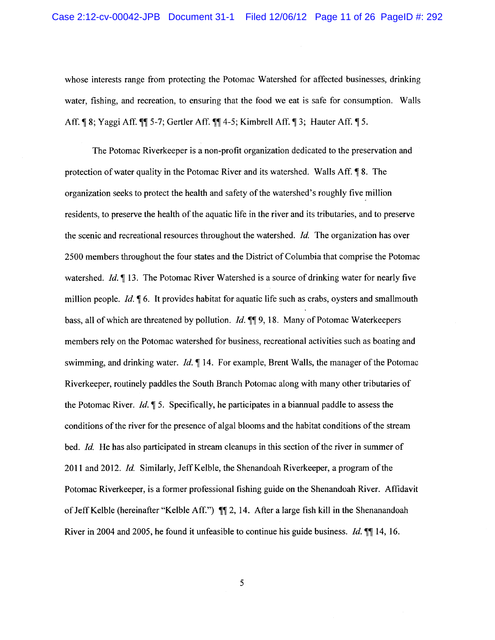whose interests range from protecting the Potomac Watershed for affected businesses, drinking water, fishing, and recreation, to ensuring that the food we eat is safe for consumption. Walls Aff. ¶ 8; Yaggi Aff. ¶ 5-7; Gertler Aff. ¶ 4-5; Kimbrell Aff. ¶ 3; Hauter Aff. ¶ 5.

The Potomac Riverkeeper is a non-profit organization dedicated to the preservation and protection of water quality in the Potomac River and its watershed. Walls Aff. [8.] The organization seeks to protect the health and safety of the watershed's roughly five million residents, to preserve the health of the aquatic life in the river and its tributaries, and to preserve the scenic and recreational resources throughout the watershed. Id. The organization has over 2500 members throughout the four states and the District of Columbia that comprise the Potomac watershed. *Id.*  $\P$  13. The Potomac River Watershed is a source of drinking water for nearly five million people. *Id.*  $\sqrt{6}$ . It provides habitat for aquatic life such as crabs, oysters and smallmouth bass, all of which are threatened by pollution. *Id.* ¶¶ 9, 18. Many of Potomac Waterkeepers members rely on the Potomac watershed for business, recreational activities such as boating and swimming, and drinking water. *Id.*  $\P$  14. For example, Brent Walls, the manager of the Potomac Riverkeeper, routinely paddles the South Branch Potomac along with many other tributaries of the Potomac River. *Id.*  $\llbracket 5$ . Specifically, he participates in a biannual paddle to assess the conditions of the river for the presence of algal blooms and the habitat conditions of the stream bed. Id. He has also participated in stream cleanups in this section of the river in summer of 2011 and 2012. Id. Similarly, Jeff Kelble, the Shenandoah Riverkeeper, a program of the Potomac Riverkeeper, is a former professional fishing guide on the Shenandoah River. Affidavit of Jeff Kelble (hereinafter "Kelble Aff.") ¶ 2, 14. After a large fish kill in the Shenanandoah River in 2004 and 2005, he found it unfeasible to continue his guide business. *Id.*  $\P$  14, 16.

5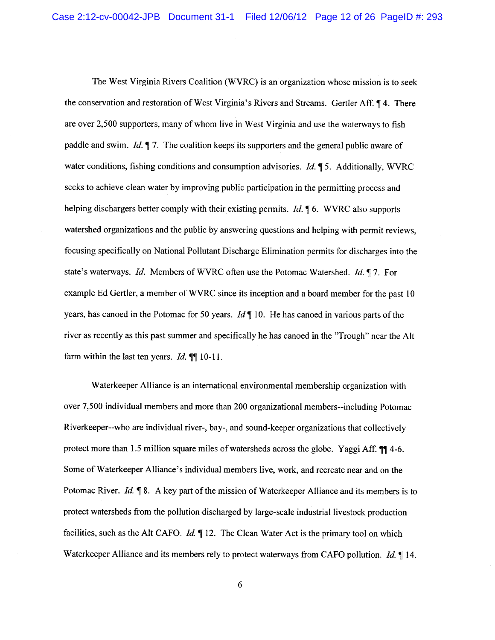The West Virginia Rivers Coalition (WVRC) is an organization whose mission is to seek the conservation and restoration of West Virginia's Rivers and Streams. Gertler Aff. 14. There are over 2,500 supporters, many of whom live in West Virginia and use the waterways to fish paddle and swim. *Id.*  $\P$  7. The coalition keeps its supporters and the general public aware of water conditions, fishing conditions and consumption advisories. Id. 15. Additionally, WVRC seeks to achieve clean water by improving public participation in the permitting process and helping dischargers better comply with their existing permits.  $Id. \P 6$ . WVRC also supports watershed organizations and the public by answering questions and helping with permit reviews, focusing specifically on National Pollutant Discharge Elimination permits for discharges into the state's waterways. Id. Members of WVRC often use the Potomac Watershed. Id. 17. For example Ed Gertler, a member of WVRC since its inception and a board member for the past 10 years, has canoed in the Potomac for 50 years.  $Id \P 10$ . He has canoed in various parts of the river as recently as this past summer and specifically he has canoed in the "Trough" near the Alt farm within the last ten years. *Id*.  $\P\P$  10-11.

Waterkeeper Alliance is an international environmental membership organization with over 7,500 individual members and more than 200 organizational members--including Potomac Riverkeeper--who are individual river-, bay-, and sound-keeper organizations that collectively protect more than 1.5 million square miles of watersheds across the globe. Yaggi Aff. 114-6. Some of Waterkeeper Alliance's individual members live, work, and recreate near and on the Potomac River. Id. ¶ 8. A key part of the mission of Waterkeeper Alliance and its members is to protect watersheds from the pollution discharged by large-scale industrial livestock production facilities, such as the Alt CAFO. Id. 12. The Clean Water Act is the primary tool on which Waterkeeper Alliance and its members rely to protect waterways from CAFO pollution. Id. ¶ 14.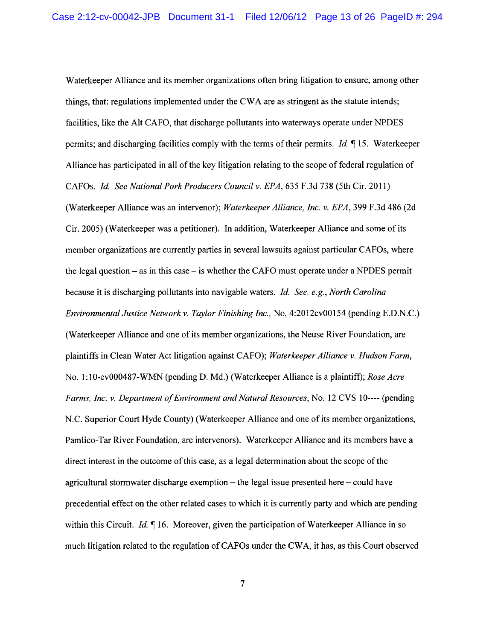Waterkeeper Alliance and its member organizations often bring litigation to ensure, among other things, that: regulations implemented under the CWA are as stringent as the statute intends; facilities, like the Alt CAFO, that discharge pollutants into waterways operate under NPDES permits; and discharging facilities comply with the terms of their permits. *Id.*  $\P$  15. Waterkeeper Alliance has participated in all of the key litigation relating to the scope of federal regulation of CAFOs. Id. See National Pork Producers Council v. EPA, 635 F.3d 738 (5th Cir. 2011) (Waterkeeper Alliance was an intervenor); Waterkeeper Alliance, Inc. v. EPA, 399 F.3d 486 (2d) Cir. 2005) (Waterkeeper was a petitioner). In addition, Waterkeeper Alliance and some of its member organizations are currently parties in several lawsuits against particular CAFOs, where the legal question  $-$  as in this case  $-$  is whether the CAFO must operate under a NPDES permit because it is discharging pollutants into navigable waters. Id. See, e.g., North Carolina Environmental Justice Network v. Taylor Finishing Inc., No. 4:2012cv00154 (pending E.D.N.C.) (Waterkeeper Alliance and one of its member organizations, the Neuse River Foundation, are plaintiffs in Clean Water Act litigation against CAFO); Waterkeeper Alliance v. Hudson Farm, No. 1:10-cv000487-WMN (pending D. Md.) (Waterkeeper Alliance is a plaintiff); Rose Acre Farms, Inc. v. Department of Environment and Natural Resources, No. 12 CVS 10---- (pending N.C. Superior Court Hyde County) (Waterkeeper Alliance and one of its member organizations, Pamlico-Tar River Foundation, are intervenors). Waterkeeper Alliance and its members have a direct interest in the outcome of this case, as a legal determination about the scope of the agricultural stormwater discharge exemption  $-$  the legal issue presented here  $-$  could have precedential effect on the other related cases to which it is currently party and which are pending within this Circuit. *Id.*  $\blacksquare$  16. Moreover, given the participation of Waterkeeper Alliance in so much litigation related to the regulation of CAFOs under the CWA, it has, as this Court observed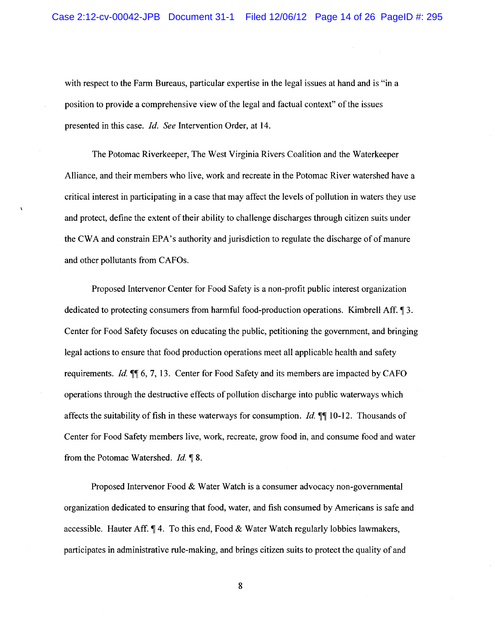with respect to the Farm Bureaus, particular expertise in the legal issues at hand and is "in a position to provide a comprehensive view of the legal and factual context" of the issues presented in this case. *Id.* See Intervention Order, at 14.

The Potomac Riverkeeper, The West Virginia Rivers Coalition and the Waterkeeper Alliance, and their members who live, work and recreate in the Potomac River watershed have a critical interest in participating in a case that may affect the levels of pollution in waters they use and protect, define the extent of their ability to challenge discharges through citizen suits under the CWA and constrain EPA's authority and jurisdiction to regulate the discharge of of manure and other pollutants from CAFOs.

Proposed Intervenor Center for Food Safety is a non-profit public interest organization dedicated to protecting consumers from harmful food-production operations. Kimbrell Aff. 13. Center for Food Safety focuses on educating the public, petitioning the government, and bringing legal actions to ensure that food production operations meet all applicable health and safety requirements. Id. 11 6, 7, 13. Center for Food Safety and its members are impacted by CAFO operations through the destructive effects of pollution discharge into public waterways which affects the suitability of fish in these waterways for consumption. *Id.*  $\P$  10-12. Thousands of Center for Food Safety members live, work, recreate, grow food in, and consume food and water from the Potomac Watershed. Id. ¶ 8.

Proposed Intervenor Food & Water Watch is a consumer advocacy non-governmental organization dedicated to ensuring that food, water, and fish consumed by Americans is safe and accessible. Hauter Aff.  $\P$  4. To this end, Food & Water Watch regularly lobbies lawmakers, participates in administrative rule-making, and brings citizen suits to protect the quality of and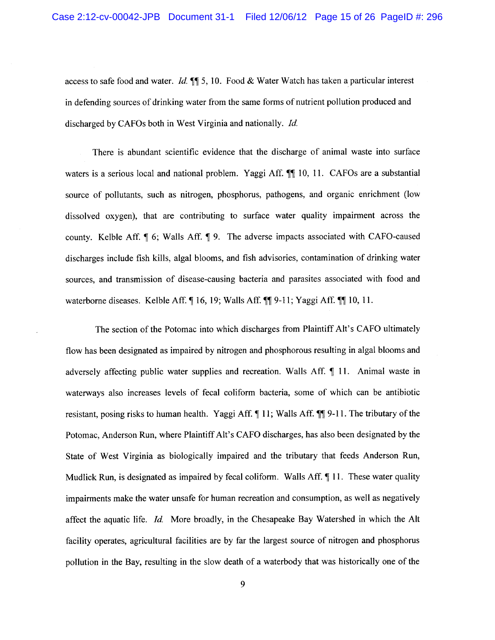access to safe food and water. Id.  $\P$  5, 10. Food & Water Watch has taken a particular interest in defending sources of drinking water from the same forms of nutrient pollution produced and discharged by CAFOs both in West Virginia and nationally. Id.

There is abundant scientific evidence that the discharge of animal waste into surface waters is a serious local and national problem. Yaggi Aff. ¶ 10, 11. CAFOs are a substantial source of pollutants, such as nitrogen, phosphorus, pathogens, and organic enrichment (low dissolved oxygen), that are contributing to surface water quality impairment across the county. Kelble Aff. ¶ 6; Walls Aff. ¶ 9. The adverse impacts associated with CAFO-caused discharges include fish kills, algal blooms, and fish advisories, contamination of drinking water sources, and transmission of disease-causing bacteria and parasites associated with food and waterborne diseases. Kelble Aff.  $\P$  16, 19; Walls Aff.  $\P$  $\P$  9-11; Yaggi Aff.  $\P$  $\P$  10, 11.

The section of the Potomac into which discharges from Plaintiff Alt's CAFO ultimately flow has been designated as impaired by nitrogen and phosphorous resulting in algal blooms and adversely affecting public water supplies and recreation. Walls Aff. ¶ 11. Animal waste in waterways also increases levels of fecal coliform bacteria, some of which can be antibiotic resistant, posing risks to human health. Yaggi Aff. 11; Walls Aff. 11. The tributary of the Potomac, Anderson Run, where Plaintiff Alt's CAFO discharges, has also been designated by the State of West Virginia as biologically impaired and the tributary that feeds Anderson Run, Mudlick Run, is designated as impaired by fecal coliform. Walls Aff.  $\P$  11. These water quality impairments make the water unsafe for human recreation and consumption, as well as negatively affect the aquatic life. Id. More broadly, in the Chesapeake Bay Watershed in which the Alt facility operates, agricultural facilities are by far the largest source of nitrogen and phosphorus pollution in the Bay, resulting in the slow death of a waterbody that was historically one of the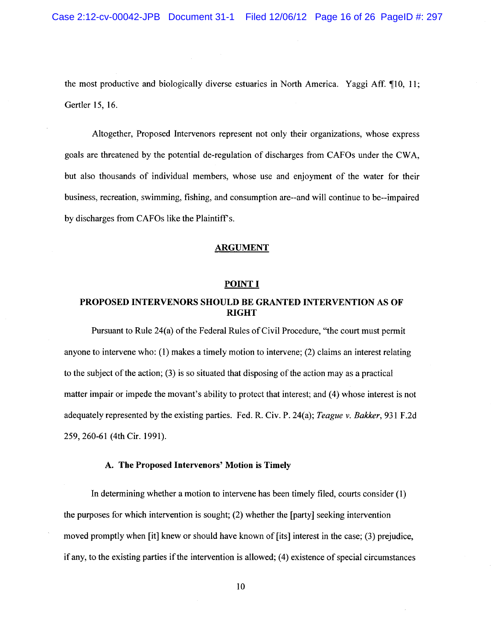the most productive and biologically diverse estuaries in North America. Yaggi Aff. 10, 11; Gertler 15, 16.

Altogether, Proposed Intervenors represent not only their organizations, whose express goals are threatened by the potential de-regulation of discharges from CAFOs under the CWA, but also thousands of individual members, whose use and enjoyment of the water for their business, recreation, swimming, fishing, and consumption are-and will continue to be--impaired by discharges from CAFOs like the Plaintiff's.

#### **ARGUMENT**

### **POINT I**

## PROPOSED INTERVENORS SHOULD BE GRANTED INTERVENTION AS OF **RIGHT**

Pursuant to Rule 24(a) of the Federal Rules of Civil Procedure, "the court must permit anyone to intervene who:  $(1)$  makes a timely motion to intervene;  $(2)$  claims an interest relating to the subject of the action;  $(3)$  is so situated that disposing of the action may as a practical matter impair or impede the movant's ability to protect that interest; and (4) whose interest is not adequately represented by the existing parties. Fed. R. Civ. P. 24(a); Teague v. Bakker, 931 F.2d 259, 260-61 (4th Cir. 1991).

#### A. The Proposed Intervenors' Motion is Timely

In determining whether a motion to intervene has been timely filed, courts consider (1) the purposes for which intervention is sought; (2) whether the [party] seeking intervention moved promptly when [it] knew or should have known of [its] interest in the case; (3) prejudice, if any, to the existing parties if the intervention is allowed; (4) existence of special circumstances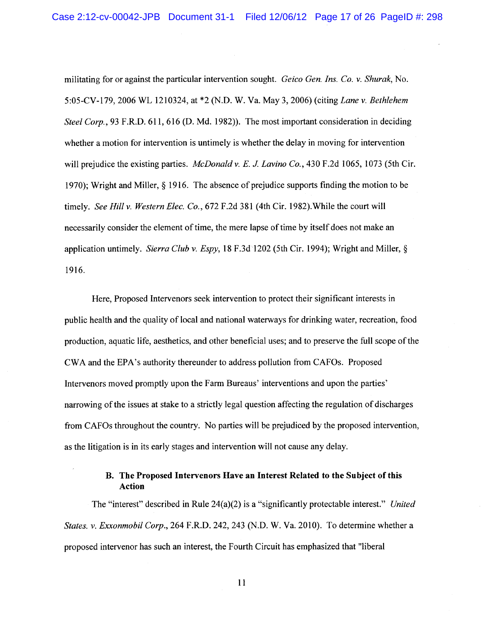militating for or against the particular intervention sought. Geico Gen. Ins. Co. v. Shurak, No. 5:05-CV-179, 2006 WL 1210324, at \*2 (N.D. W. Va. May 3, 2006) (citing Lane v. Bethlehem Steel Corp., 93 F.R.D. 611, 616 (D. Md. 1982)). The most important consideration in deciding whether a motion for intervention is untimely is whether the delay in moving for intervention will prejudice the existing parties. McDonald v. E. J. Lavino Co., 430 F.2d 1065, 1073 (5th Cir. 1970); Wright and Miller,  $\S$  1916. The absence of prejudice supports finding the motion to be timely. See Hill v. Western Elec. Co., 672 F.2d 381 (4th Cir. 1982). While the court will necessarily consider the element of time, the mere lapse of time by itself does not make an application untimely. Sierra Club v. Espy, 18 F.3d 1202 (5th Cir. 1994); Wright and Miller, § 1916.

Here, Proposed Intervenors seek intervention to protect their significant interests in public health and the quality of local and national waterways for drinking water, recreation, food production, aquatic life, aesthetics, and other beneficial uses; and to preserve the full scope of the CWA and the EPA's authority thereunder to address pollution from CAFOs. Proposed Intervenors moved promptly upon the Farm Bureaus' interventions and upon the parties' narrowing of the issues at stake to a strictly legal question affecting the regulation of discharges from CAFOs throughout the country. No parties will be prejudiced by the proposed intervention, as the litigation is in its early stages and intervention will not cause any delay.

## B. The Proposed Intervenors Have an Interest Related to the Subject of this Action

The "interest" described in Rule  $24(a)(2)$  is a "significantly protectable interest." United States. v. Exxonmobil Corp., 264 F.R.D. 242, 243 (N.D. W. Va. 2010). To determine whether a proposed intervenor has such an interest, the Fourth Circuit has emphasized that "liberal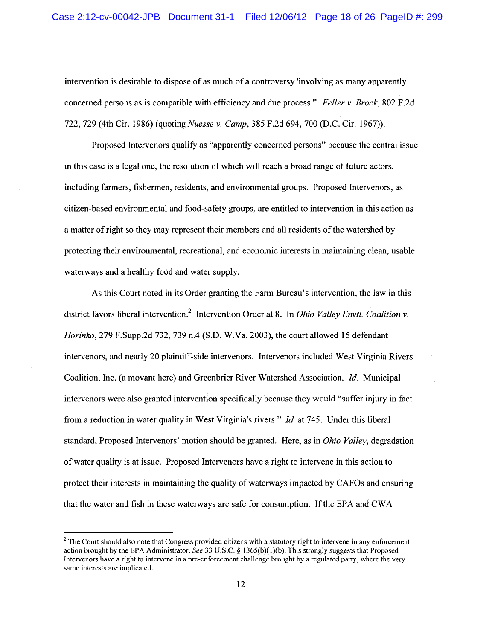intervention is desirable to dispose of as much of a controversy 'involving as many apparently concerned persons as is compatible with efficiency and due process." Feller v. Brock, 802 F.2d 722, 729 (4th Cir. 1986) (quoting *Nuesse v. Camp*, 385 F.2d 694, 700 (D.C. Cir. 1967)).

Proposed Intervenors qualify as "apparently concerned persons" because the central issue in this case is a legal one, the resolution of which will reach a broad range of future actors, including farmers, fishermen, residents, and environmental groups. Proposed Intervenors, as citizen-based environmental and food-safety groups, are entitled to intervention in this action as a matter of right so they may represent their members and all residents of the watershed by protecting their environmental, recreational, and economic interests in maintaining clean, usable waterways and a healthy food and water supply.

As this Court noted in its Order granting the Farm Bureau's intervention, the law in this district favors liberal intervention.<sup>2</sup> Intervention Order at 8. In *Ohio Valley Envtl. Coalition v.* Horinko, 279 F.Supp.2d 732, 739 n.4 (S.D. W.Va. 2003), the court allowed 15 defendant intervenors, and nearly 20 plaintiff-side intervenors. Intervenors included West Virginia Rivers Coalition, Inc. (a movant here) and Greenbrier River Watershed Association. Id. Municipal intervenors were also granted intervention specifically because they would "suffer injury in fact" from a reduction in water quality in West Virginia's rivers." *Id.* at 745. Under this liberal standard, Proposed Intervenors' motion should be granted. Here, as in *Ohio Valley*, degradation of water quality is at issue. Proposed Intervenors have a right to intervene in this action to protect their interests in maintaining the quality of waterways impacted by CAFOs and ensuring that the water and fish in these waterways are safe for consumption. If the EPA and CWA

<sup>&</sup>lt;sup>2</sup> The Court should also note that Congress provided citizens with a statutory right to intervene in any enforcement action brought by the EPA Administrator. See 33 U.S.C. § 1365(b)(1)(b). This strongly suggests that Proposed Intervenors have a right to intervene in a pre-enforcement challenge brought by a regulated party, where the very same interests are implicated.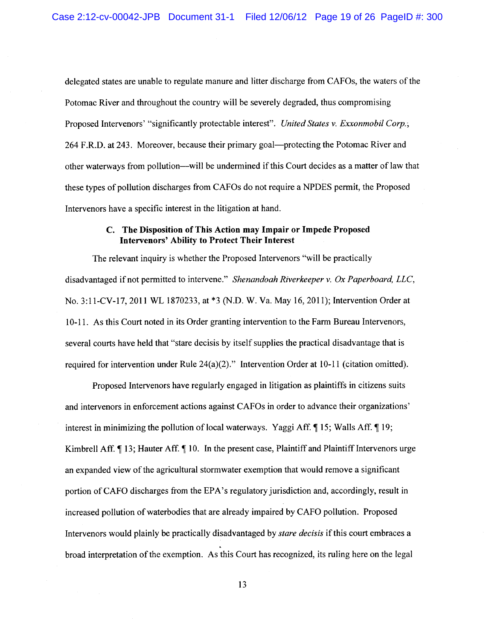delegated states are unable to regulate manure and litter discharge from CAFOs, the waters of the Potomac River and throughout the country will be severely degraded, thus compromising Proposed Intervenors' "significantly protectable interest". United States v. Exxonmobil Corp.; 264 F.R.D. at 243. Moreover, because their primary goal—protecting the Potomac River and other waterways from pollution—will be undermined if this Court decides as a matter of law that these types of pollution discharges from CAFOs do not require a NPDES permit, the Proposed Intervenors have a specific interest in the litigation at hand.

## C. The Disposition of This Action may Impair or Impede Proposed **Intervenors' Ability to Protect Their Interest**

The relevant inquiry is whether the Proposed Intervenors "will be practically disadvantaged if not permitted to intervene." Shenandoah Riverkeeper v. Ox Paperboard, LLC, No. 3:11-CV-17, 2011 WL 1870233, at \*3 (N.D. W. Va. May 16, 2011); Intervention Order at 10-11. As this Court noted in its Order granting intervention to the Farm Bureau Intervenors, several courts have held that "stare decisis by itself supplies the practical disadvantage that is required for intervention under Rule 24(a)(2)." Intervention Order at 10-11 (citation omitted).

Proposed Intervenors have regularly engaged in litigation as plaintiffs in citizens suits and intervenors in enforcement actions against CAFOs in order to advance their organizations' interest in minimizing the pollution of local waterways. Yaggi Aff.  $\P$  15; Walls Aff.  $\P$  19; Kimbrell Aff. ¶ 13; Hauter Aff. ¶ 10. In the present case, Plaintiff and Plaintiff Intervenors urge an expanded view of the agricultural stormwater exemption that would remove a significant portion of CAFO discharges from the EPA's regulatory jurisdiction and, accordingly, result in increased pollution of waterbodies that are already impaired by CAFO pollution. Proposed Intervenors would plainly be practically disadvantaged by *stare decisis* if this court embraces a broad interpretation of the exemption. As this Court has recognized, its ruling here on the legal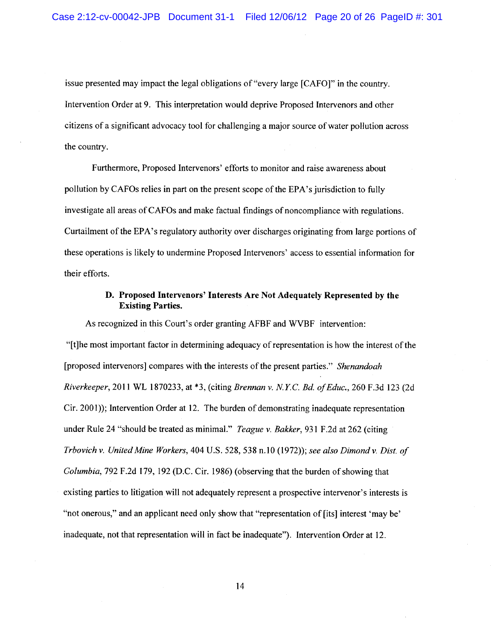issue presented may impact the legal obligations of "every large [CAFO]" in the country. Intervention Order at 9. This interpretation would deprive Proposed Intervenors and other citizens of a significant advocacy tool for challenging a major source of water pollution across the country.

Furthermore, Proposed Intervenors' efforts to monitor and raise awareness about pollution by CAFOs relies in part on the present scope of the EPA's jurisdiction to fully investigate all areas of CAFOs and make factual findings of noncompliance with regulations. Curtailment of the EPA's regulatory authority over discharges originating from large portions of these operations is likely to undermine Proposed Intervenors' access to essential information for their efforts.

## D. Proposed Intervenors' Interests Are Not Adequately Represented by the **Existing Parties.**

As recognized in this Court's order granting AFBF and WVBF intervention: "[t]he most important factor in determining adequacy of representation is how the interest of the [proposed intervenors] compares with the interests of the present parties." Shenandoah Riverkeeper, 2011 WL 1870233, at \*3, (citing Brennan v. N.Y.C. Bd. of Educ., 260 F.3d 123 (2d Cir. 2001); Intervention Order at 12. The burden of demonstrating inadequate representation under Rule 24 "should be treated as minimal." Teague v. Bakker, 931 F.2d at 262 (citing Trbovich v. United Mine Workers, 404 U.S. 528, 538 n.10 (1972)); see also Dimond v. Dist. of Columbia, 792 F.2d 179, 192 (D.C. Cir. 1986) (observing that the burden of showing that existing parties to litigation will not adequately represent a prospective intervenor's interests is "not onerous," and an applicant need only show that "representation of [its] interest 'may be' inadequate, not that representation will in fact be inadequate"). Intervention Order at 12.

14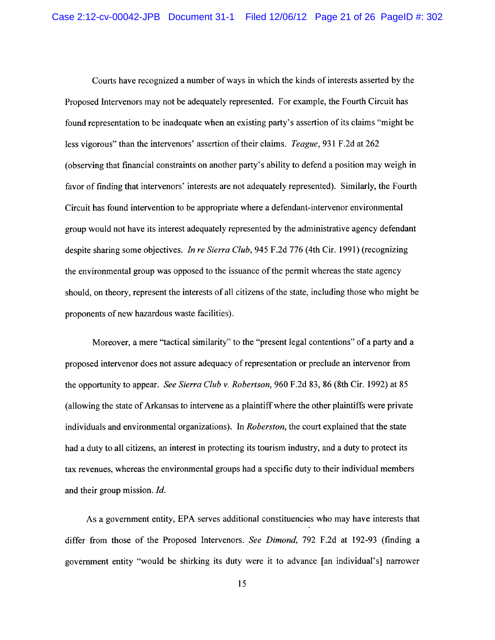Courts have recognized a number of ways in which the kinds of interests asserted by the Proposed Intervenors may not be adequately represented. For example, the Fourth Circuit has found representation to be inadequate when an existing party's assertion of its claims "might be less vigorous" than the intervenors' assertion of their claims. Teague, 931 F.2d at 262 (observing that financial constraints on another party's ability to defend a position may weigh in favor of finding that intervenors' interests are not adequately represented). Similarly, the Fourth Circuit has found intervention to be appropriate where a defendant-intervenor environmental group would not have its interest adequately represented by the administrative agency defendant despite sharing some objectives. In re Sierra Club, 945 F.2d 776 (4th Cir. 1991) (recognizing the environmental group was opposed to the issuance of the permit whereas the state agency should, on theory, represent the interests of all citizens of the state, including those who might be proponents of new hazardous waste facilities).

Moreover, a mere "tactical similarity" to the "present legal contentions" of a party and a proposed intervenor does not assure adequacy of representation or preclude an intervenor from the opportunity to appear. See Sierra Club v. Robertson, 960 F.2d 83, 86 (8th Cir. 1992) at 85 (allowing the state of Arkansas to intervene as a plaintiff where the other plaintiffs were private individuals and environmental organizations). In *Roberston*, the court explained that the state had a duty to all citizens, an interest in protecting its tourism industry, and a duty to protect its tax revenues, whereas the environmental groups had a specific duty to their individual members and their group mission. Id.

As a government entity, EPA serves additional constituencies who may have interests that differ from those of the Proposed Intervenors. See Dimond, 792 F.2d at 192-93 (finding a government entity "would be shirking its duty were it to advance [an individual's] narrower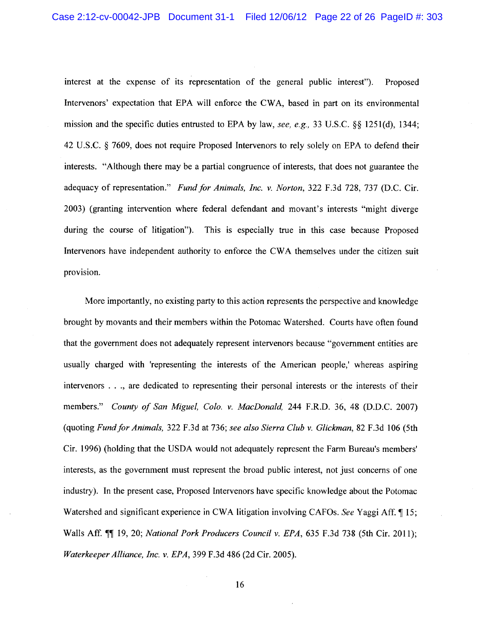interest at the expense of its representation of the general public interest"). Proposed Intervenors' expectation that EPA will enforce the CWA, based in part on its environmental mission and the specific duties entrusted to EPA by law, see, e.g., 33 U.S.C. §§ 1251(d), 1344; 42 U.S.C. § 7609, does not require Proposed Intervenors to rely solely on EPA to defend their interests. "Although there may be a partial congruence of interests, that does not guarantee the adequacy of representation." Fund for Animals, Inc. v. Norton, 322 F.3d 728, 737 (D.C. Cir. 2003) (granting intervention where federal defendant and movant's interests "might diverge" during the course of litigation"). This is especially true in this case because Proposed Intervenors have independent authority to enforce the CWA themselves under the citizen suit provision.

More importantly, no existing party to this action represents the perspective and knowledge brought by movants and their members within the Potomac Watershed. Courts have often found that the government does not adequately represent intervenors because "government entities are usually charged with 'representing the interests of the American people,' whereas aspiring intervenors . . ., are dedicated to representing their personal interests or the interests of their members." County of San Miguel, Colo. v. MacDonald, 244 F.R.D. 36, 48 (D.D.C. 2007) (quoting Fund for Animals, 322 F.3d at 736; see also Sierra Club v. Glickman, 82 F.3d 106 (5th Cir. 1996) (holding that the USDA would not adequately represent the Farm Bureau's members' interests, as the government must represent the broad public interest, not just concerns of one industry). In the present case, Proposed Intervenors have specific knowledge about the Potomac Watershed and significant experience in CWA litigation involving CAFOs. See Yaggi Aff. 15; Walls Aff. 11 19, 20; National Pork Producers Council v. EPA, 635 F.3d 738 (5th Cir. 2011); Waterkeeper Alliance, Inc. v. EPA, 399 F.3d 486 (2d Cir. 2005).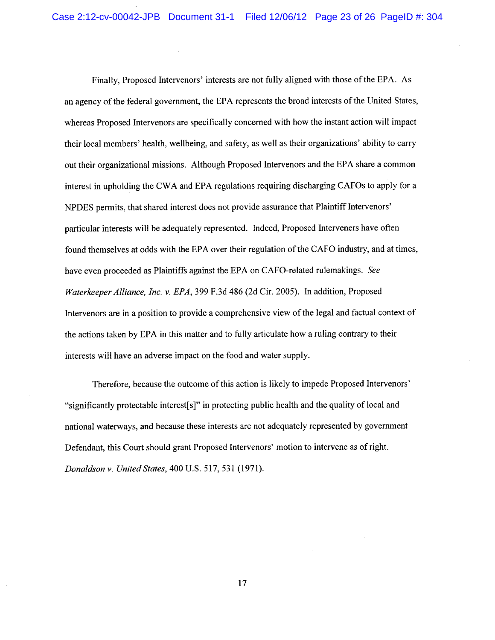Finally, Proposed Intervenors' interests are not fully aligned with those of the EPA. As an agency of the federal government, the EPA represents the broad interests of the United States, whereas Proposed Intervenors are specifically concerned with how the instant action will impact their local members' health, wellbeing, and safety, as well as their organizations' ability to carry out their organizational missions. Although Proposed Intervenors and the EPA share a common interest in upholding the CWA and EPA regulations requiring discharging CAFOs to apply for a NPDES permits, that shared interest does not provide assurance that Plaintiff Intervenors' particular interests will be adequately represented. Indeed, Proposed Interveners have often found themselves at odds with the EPA over their regulation of the CAFO industry, and at times, have even proceeded as Plaintiffs against the EPA on CAFO-related rulemakings. See Waterkeeper Alliance, Inc. v. EPA, 399 F.3d 486 (2d Cir. 2005). In addition, Proposed Intervenors are in a position to provide a comprehensive view of the legal and factual context of the actions taken by EPA in this matter and to fully articulate how a ruling contrary to their interests will have an adverse impact on the food and water supply.

Therefore, because the outcome of this action is likely to impede Proposed Intervenors' "significantly protectable interest[s]" in protecting public health and the quality of local and national waterways, and because these interests are not adequately represented by government Defendant, this Court should grant Proposed Intervenors' motion to intervene as of right. Donaldson v. United States, 400 U.S. 517, 531 (1971).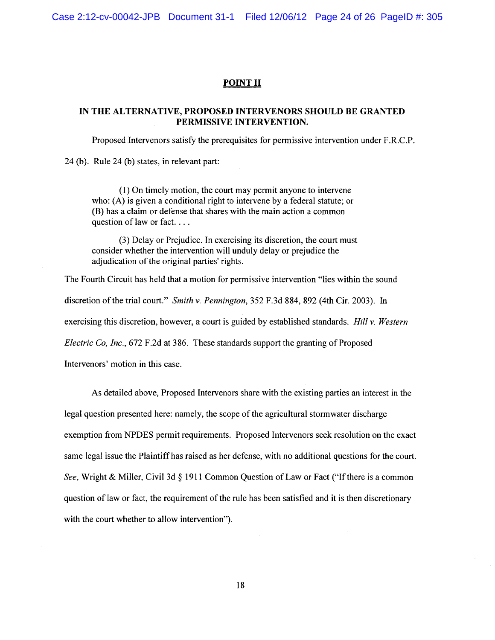Case 2:12-cv-00042-JPB Document 31-1 Filed 12/06/12 Page 24 of 26 PageID #: 305

### **POINT II**

### IN THE ALTERNATIVE, PROPOSED INTERVENORS SHOULD BE GRANTED PERMISSIVE INTERVENTION.

Proposed Intervenors satisfy the prerequisites for permissive intervention under F.R.C.P.

24 (b). Rule 24 (b) states, in relevant part:

(1) On timely motion, the court may permit anyone to intervene who: (A) is given a conditional right to intervene by a federal statute; or (B) has a claim or defense that shares with the main action a common question of law or fact....

(3) Delay or Prejudice. In exercising its discretion, the court must consider whether the intervention will unduly delay or prejudice the adjudication of the original parties' rights.

The Fourth Circuit has held that a motion for permissive intervention "lies within the sound" discretion of the trial court." Smith v. Pennington, 352 F.3d 884, 892 (4th Cir. 2003). In exercising this discretion, however, a court is guided by established standards. *Hill v. Western* Electric Co, Inc., 672 F.2d at 386. These standards support the granting of Proposed Intervenors' motion in this case.

As detailed above, Proposed Intervenors share with the existing parties an interest in the legal question presented here: namely, the scope of the agricultural stormwater discharge exemption from NPDES permit requirements. Proposed Intervenors seek resolution on the exact same legal issue the Plaintiff has raised as her defense, with no additional questions for the court. See, Wright & Miller, Civil 3d § 1911 Common Question of Law or Fact ("If there is a common question of law or fact, the requirement of the rule has been satisfied and it is then discretionary with the court whether to allow intervention").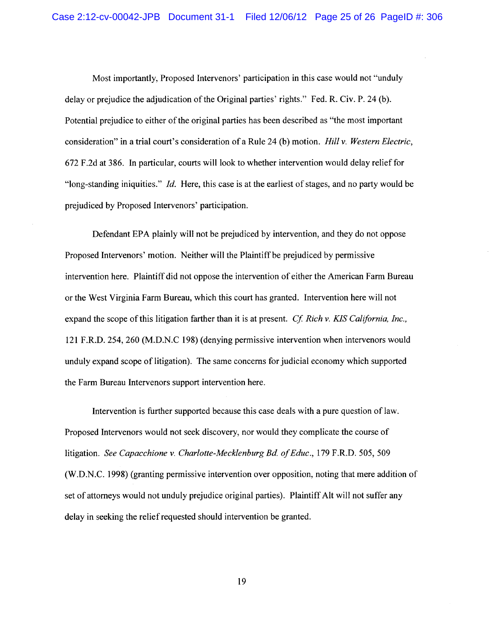Most importantly, Proposed Intervenors' participation in this case would not "unduly delay or prejudice the adjudication of the Original parties' rights." Fed. R. Civ. P. 24 (b). Potential prejudice to either of the original parties has been described as "the most important consideration" in a trial court's consideration of a Rule 24 (b) motion. *Hill v. Western Electric*, 672 F.2d at 386. In particular, courts will look to whether intervention would delay relief for "long-standing iniquities." *Id.* Here, this case is at the earliest of stages, and no party would be prejudiced by Proposed Intervenors' participation.

Defendant EPA plainly will not be prejudiced by intervention, and they do not oppose Proposed Intervenors' motion. Neither will the Plaintiff be prejudiced by permissive intervention here. Plaintiff did not oppose the intervention of either the American Farm Bureau or the West Virginia Farm Bureau, which this court has granted. Intervention here will not expand the scope of this litigation farther than it is at present. *Cf. Rich v. KIS California, Inc.*, 121 F.R.D. 254, 260 (M.D.N.C 198) (denying permissive intervention when intervenors would unduly expand scope of litigation). The same concerns for judicial economy which supported the Farm Bureau Intervenors support intervention here.

Intervention is further supported because this case deals with a pure question of law. Proposed Intervenors would not seek discovery, nor would they complicate the course of litigation. See Capacchione v. Charlotte-Mecklenburg Bd. of Educ., 179 F.R.D. 505, 509 (W.D.N.C. 1998) (granting permissive intervention over opposition, noting that mere addition of set of attorneys would not unduly prejudice original parties). Plaintiff Alt will not suffer any delay in seeking the relief requested should intervention be granted.

19